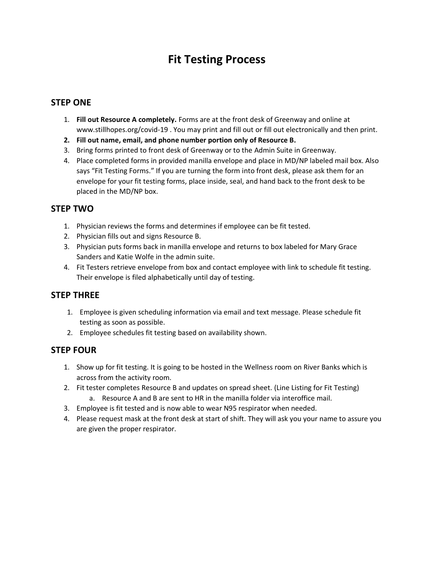# **Fit Testing Process**

# **STEP ONE**

- 1. **Fill out Resource A completely.** Forms are at the front desk of Greenway and online at www.stillhopes.org/covid-19 . You may print and fill out or fill out electronically and then print.
- **2. Fill out name, email, and phone number portion only of Resource B.**
- 3. Bring forms printed to front desk of Greenway or to the Admin Suite in Greenway.
- 4. Place completed forms in provided manilla envelope and place in MD/NP labeled mail box. Also says "Fit Testing Forms." If you are turning the form into front desk, please ask them for an envelope for your fit testing forms, place inside, seal, and hand back to the front desk to be placed in the MD/NP box.

# **STEP TWO**

- 1. Physician reviews the forms and determines if employee can be fit tested.
- 2. Physician fills out and signs Resource B.
- 3. Physician puts forms back in manilla envelope and returns to box labeled for Mary Grace Sanders and Katie Wolfe in the admin suite.
- 4. Fit Testers retrieve envelope from box and contact employee with link to schedule fit testing. Their envelope is filed alphabetically until day of testing.

## **STEP THREE**

- 1. Employee is given scheduling information via email and text message. Please schedule fit testing as soon as possible.
- 2. Employee schedules fit testing based on availability shown.

# **STEP FOUR**

- 1. Show up for fit testing. It is going to be hosted in the Wellness room on River Banks which is across from the activity room.
- 2. Fit tester completes Resource B and updates on spread sheet. (Line Listing for Fit Testing) a. Resource A and B are sent to HR in the manilla folder via interoffice mail.
- 3. Employee is fit tested and is now able to wear N95 respirator when needed.
- 4. Please request mask at the front desk at start of shift. They will ask you your name to assure you are given the proper respirator.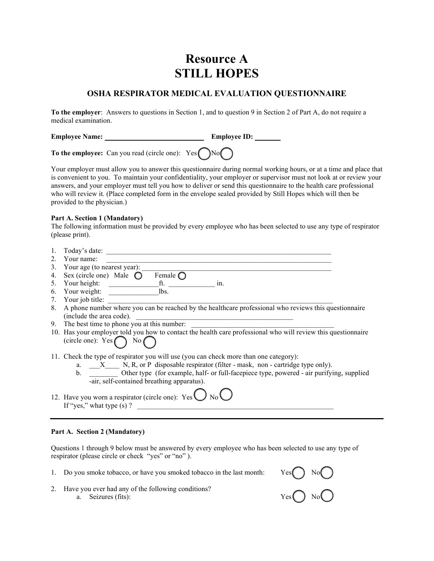# **Resource A STILL HOPES**

### **OSHA RESPIRATOR MEDICAL EVALUATION QUESTIONNAIRE**

**To the employer**: Answers to questions in Section 1, and to question 9 in Section 2 of Part A, do not require a medical examination.

**Employee Name: Employee ID:** 

**To the employee:** Can you read (circle one):  $Yes \bigcap No \bigcap$ 

Your employer must allow you to answer this questionnaire during normal working hours, or at a time and place that is convenient to you. To maintain your confidentiality, your employer or supervisor must not look at or review your answers, and your employer must tell you how to deliver or send this questionnaire to the health care professional who will review it. (Place completed form in the envelope sealed provided by Still Hopes which will then be provided to the physician.)

#### **Part A. Section 1 (Mandatory)**

The following information must be provided by every employee who has been selected to use any type of respirator (please print).

- 1. Today's date: \_\_\_\_\_\_\_\_\_\_\_\_\_\_\_\_\_\_\_\_\_\_\_\_\_\_\_\_\_\_\_\_\_\_\_\_\_\_\_\_\_\_\_\_\_\_\_\_\_\_\_\_\_\_\_\_\_\_\_\_\_\_\_
- 2. Your name:
- 3. Your age (to nearest year):
- 4. Sex (circle one) Male  $\bigcirc$  Female  $\bigcirc$
- 5. Your height:  $\begin{array}{ccc} \hline \end{array}$  ft.  $\begin{array}{ccc} \hline \end{array}$  in.
- 6. Your weight:  $\boxed{\qquad}$  lbs.
- 7. Your job title:
- 8. A phone number where you can be reached by the healthcare professional who reviews this questionnaire (include the area code).
- 9. The best time to phone you at this number:
- 10. Has your employer told you how to contact the health care professional who will review this questionnaire (circle one):  $Yes \bigcap No \bigcap$
- 11. Check the type of respirator you will use (you can check more than one category):
	- a.  $\_\_X$  N, R, or P disposable respirator (filter mask, non cartridge type only).
	- b. \_\_\_\_\_\_\_\_\_ Other type (for example, half- or full-facepiece type, powered air purifying, supplied -air, self-contained breathing apparatus).
- 12. Have you worn a respirator (circle one):  $\text{Yes} \cup \text{No} \cup$ If "yes," what type (s) ? \_\_\_\_\_\_\_\_\_\_\_\_\_\_\_\_\_\_\_\_\_\_\_\_\_\_\_\_\_\_\_\_\_\_\_\_\_\_\_\_\_\_\_\_\_\_\_\_\_\_\_\_\_\_\_

#### **Part A. Section 2 (Mandatory)**

Questions 1 through 9 below must be answered by every employee who has been selected to use any type of respirator (please circle or check "yes" or "no" ).

- 
- 1. Do you smoke tobacco, or have you smoked tobacco in the last month: Yes  $\bigcirc$  No  $\bigcirc$ <br>2. Have you ever had any of the following conditions?<br>a. Seizures (fits): Yes  $\bigcirc$  No  $\bigcirc$ 2. Have you ever had any of the following conditions? a. Seizures (fits):

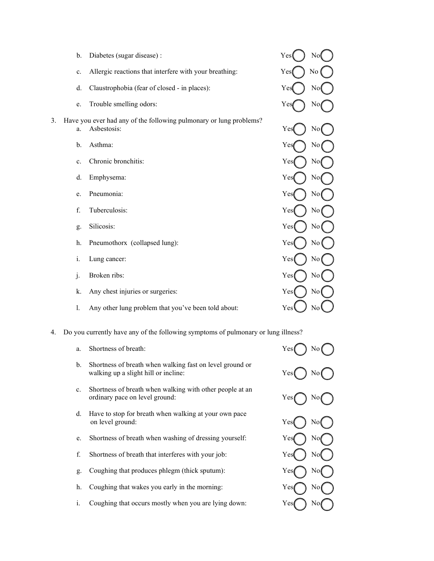|    | b.             | Diabetes (sugar disease):                                                         | Yes(        | No             |
|----|----------------|-----------------------------------------------------------------------------------|-------------|----------------|
|    | c.             | Allergic reactions that interfere with your breathing:                            | No (<br>Yes |                |
|    | d.             | Claustrophobia (fear of closed - in places):                                      | Yes         | No             |
|    | e.             | Trouble smelling odors:                                                           | Yes         | No             |
| 3. | a.             | Have you ever had any of the following pulmonary or lung problems?<br>Asbestosis: | Yes         | No             |
|    | b.             | Asthma:                                                                           | Yes         | No             |
|    | c.             | Chronic bronchitis:                                                               | Yes         | No             |
|    | d.             | Emphysema:                                                                        | Yes         | No             |
|    | e.             | Pneumonia:                                                                        | Yes         | N <sub>o</sub> |
|    | f.             | Tuberculosis:                                                                     | Yes         | No             |
|    | g.             | Silicosis:                                                                        | Yes         | No             |
|    | h.             | Pneumothorx (collapsed lung):                                                     | Yes         | $\rm No$       |
|    | i.             | Lung cancer:                                                                      | Yes         | No             |
|    | $\mathbf{j}$ . | Broken ribs:                                                                      | Yes         | N <sub>o</sub> |
|    | k.             | Any chest injuries or surgeries:                                                  | Yes         | No             |
|    | 1.             | Any other lung problem that you've been told about:                               | Yes         | No             |
|    |                |                                                                                   |             |                |

4. Do you currently have any of the following symptoms of pulmonary or lu

- a. Shortness of breath: b. Shortness of breath when walking fast on level ground or walking up a slight hill or incline:
- c. Shortness of breath when walking with other people at an ordinary pace on level ground:
- d. Have to stop for breath when walking at your own pace on level ground:
- e. Shortness of breath when washing of dressing yourself:
- f. Shortness of breath that interferes with your job:
- g. Coughing that produces phlegm (thick sputum):
- h. Coughing that wakes you early in the morning:
- i. Coughing that occurs mostly when you are lying down:

| ung illness? |                        |
|--------------|------------------------|
| Yes(         | $\overline{\text{No}}$ |
| Yes(         | No(                    |
| Yes(         | $N$ o                  |
| Yes          | No(                    |
| Yes          | N <sub>o</sub>         |
| Yes          | No                     |
| Yes          | No                     |
| Yes          | No                     |
| Yes          | No                     |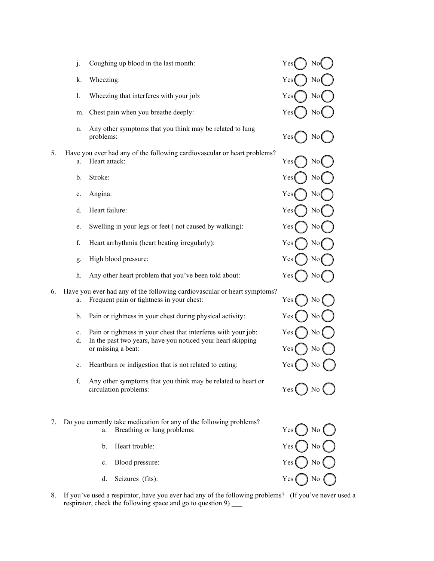- j. Coughing up blood in the last month:  $Yes()$  No
- 
- 1. Wheezing that interferes with your job:  $\text{Yes}(\ )$  No
- m. Chest pain when you breathe deeply:  $Yes$  No
- n. Any other symptoms that you think may be related to lung problems:  $Yes$   $\left( \quad \right)$  No
- 5. Have you ever had any of the following cardiovascular or heart problems? a. Heart attack:  $\qquad \qquad \qquad \qquad \qquad \qquad \qquad \qquad \text{Yes} \qquad \qquad \text{No}$ 
	-
	-
	- d. Heart failure:  $Yes$  No
	- e. Swelling in your legs or feet (not caused by walking):  $Yes$   $\left( \n\right)$  No
	- f. Heart arrhythmia (heart beating irregularly): Yes
	- g. High blood pressure:  $\gamma$   $\gamma$   $\gamma$   $\gamma$   $\gamma$   $\gamma$
	- h. Any other heart problem that you've been told about:  $Yes( ) No$
- 6. Have you ever had any of the following cardiovascular or heart symptoms? a. Frequent pain or tightness in your chest:  $Yes$   $\left( \begin{array}{c} \end{array} \right)$  No
	- b. Pain or tightness in your chest during physical activity: Yes
	- c. Pain or tightness in your chest that interferes with your job:  $Yes$   $\left( \quad \right)$  No
	- d. In the past two years, have you noticed your heart skipping or missing a beat: Yes (C) No
	- e. Heartburn or indigestion that is not related to eating:  $Yes$   $\left( \quad \right)$  No
	- f. Any other symptoms that you think may be related to heart or  $circulation problems:$   $Yes$   $\Box$  No
- 7. Do you currently take medication for any of the following problems? a. Breathing or lung problems:  $Yes() No$ 
	- b. Heart trouble:  $Yes$   $\left( \begin{array}{c} \end{array} \right)$  No
	- c. Blood pressure:  $\qquad \qquad \qquad$  Yes () No
	- d. Seizures (fits):  $Yes$  No





8. If you've used a respirator, have you ever had any of the following problems? (If you've never used a respirator, check the following space and go to question 9) \_\_\_\_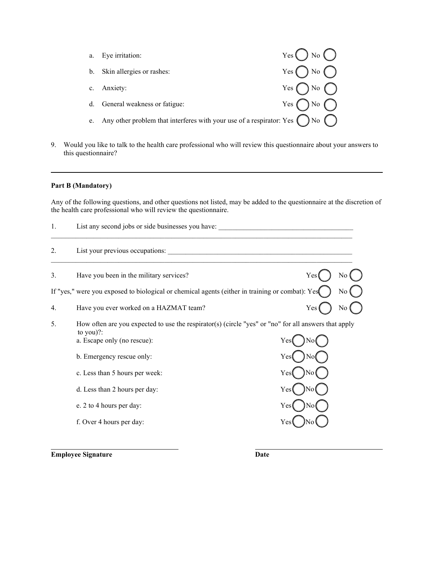|                | Eye irritation:                                                                             | $Yes \bigcap No \bigcap$   |
|----------------|---------------------------------------------------------------------------------------------|----------------------------|
| $\mathbf{b}$ . | Skin allergies or rashes:                                                                   | $Yes \bigcap No \bigcap$   |
|                | c. Anxiety:                                                                                 | Yes $\bigcap$ No $\bigcap$ |
|                | d. General weakness or fatigue:                                                             | Yes $\bigcap$ No $\bigcap$ |
|                | Any other problem that interferes with your use of a respirator: Yes $\bigcap$ No $\bigcap$ |                            |

9. Would you like to talk to the health care professional who will review this questionnaire about your answers to this questionnaire?

#### **Part B (Mandatory)**

Any of the following questions, and other questions not listed, may be added to the questionnaire at the discretion of the health care professional who will review the questionnaire.

| 1. | List any second jobs or side businesses you have:                                                                 |     |                |
|----|-------------------------------------------------------------------------------------------------------------------|-----|----------------|
| 2. | List your previous occupations:                                                                                   |     |                |
| 3. | Have you been in the military services?                                                                           | Yes | No             |
|    | If "yes," were you exposed to biological or chemical agents (either in training or combat): Yes                   |     | No             |
| 4. | Have you ever worked on a HAZMAT team?                                                                            | Yes | N <sub>0</sub> |
| 5. | How often are you expected to use the respirator(s) (circle "yes" or "no" for all answers that apply<br>to you)?: |     |                |
|    | a. Escape only (no rescue):                                                                                       | Yes |                |
|    | b. Emergency rescue only:                                                                                         | Yes |                |
|    | c. Less than 5 hours per week:                                                                                    | Yes |                |
|    | d. Less than 2 hours per day:                                                                                     | Yes |                |
|    | e. 2 to 4 hours per day:                                                                                          | Yes |                |
|    | f. Over 4 hours per day:                                                                                          | Yes |                |

**Employee Signature Date**